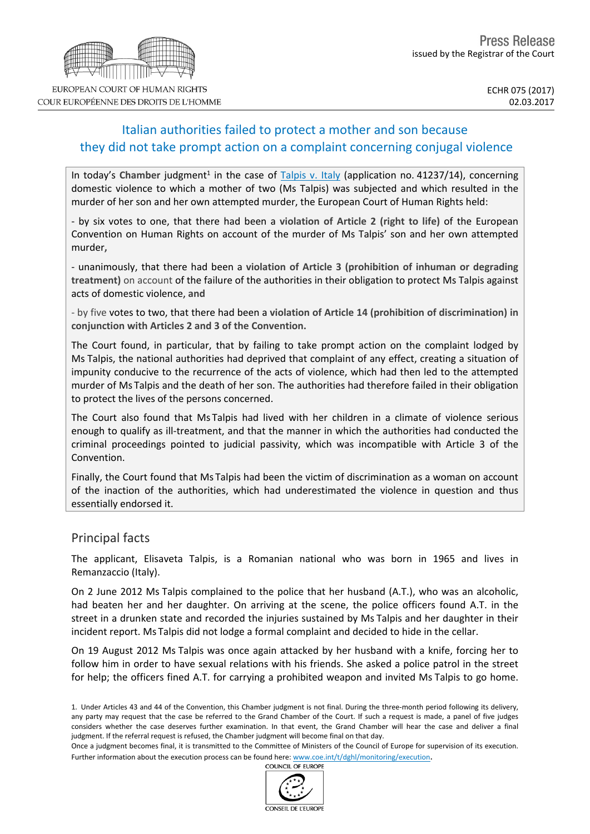# Italian authorities failed to protect a mother and son because they did not take prompt action on a complaint concerning conjugal violence

In today's Chamber judgment<sup>1</sup> in the case of [Talpis](http://hudoc.echr.coe.int/eng?i=001-171508) v. Italy (application no. 41237/14), concerning domestic violence to which a mother of two (Ms Talpis) was subjected and which resulted in the murder of her son and her own attempted murder, the European Court of Human Rights held:

- by six votes to one, that there had been a **violation of Article 2 (right to life)** of the European Convention on Human Rights on account of the murder of Ms Talpis' son and her own attempted murder**,**

- unanimously, that there had been a **violation of Article 3 (prohibition of inhuman or degrading treatment)** on account of the failure of the authorities in their obligation to protect Ms Talpis against acts of domestic violence, **and**

- by five votes to two, that there had been a **violation of Article 14 (prohibition of discrimination) in conjunction with Articles 2 and 3 of the Convention.**

The Court found, in particular, that by failing to take prompt action on the complaint lodged by Ms Talpis, the national authorities had deprived that complaint of any effect, creating a situation of impunity conducive to the recurrence of the acts of violence, which had then led to the attempted murder of Ms Talpis and the death of her son. The authorities had therefore failed in their obligation to protect the lives of the persons concerned.

The Court also found that Ms Talpis had lived with her children in a climate of violence serious enough to qualify as ill-treatment, and that the manner in which the authorities had conducted the criminal proceedings pointed to judicial passivity, which was incompatible with Article 3 of the Convention.

Finally, the Court found that Ms Talpis had been the victim of discrimination as a woman on account of the inaction of the authorities, which had underestimated the violence in question and thus essentially endorsed it.

### Principal facts

The applicant, Elisaveta Talpis, is a Romanian national who was born in 1965 and lives in Remanzaccio (Italy).

On 2 June 2012 Ms Talpis complained to the police that her husband (A.T.), who was an alcoholic, had beaten her and her daughter. On arriving at the scene, the police officers found A.T. in the street in a drunken state and recorded the injuries sustained by Ms Talpis and her daughter in their incident report. Ms Talpis did not lodge a formal complaint and decided to hide in the cellar.

On 19 August 2012 Ms Talpis was once again attacked by her husband with a knife, forcing her to follow him in order to have sexual relations with his friends. She asked a police patrol in the street for help; the officers fined A.T. for carrying a prohibited weapon and invited Ms Talpis to go home.



COUR EUROPÉENNE DES DROITS DE L'HOMME

<sup>1.</sup> Under Articles 43 and 44 of the Convention, this Chamber judgment is not final. During the three-month period following its delivery, any party may request that the case be referred to the Grand Chamber of the Court. If such a request is made, a panel of five judges considers whether the case deserves further examination. In that event, the Grand Chamber will hear the case and deliver a final judgment. If the referral request is refused, the Chamber judgment will become final on that day.

Once a judgment becomes final, it is transmitted to the Committee of Ministers of the Council of Europe for supervision of its execution. Further information about the execution process can be found here: [www.coe.int/t/dghl/monitoring/execution](http://www.coe.int/t/dghl/monitoring/execution).<br>COUNCIL OF FUROPE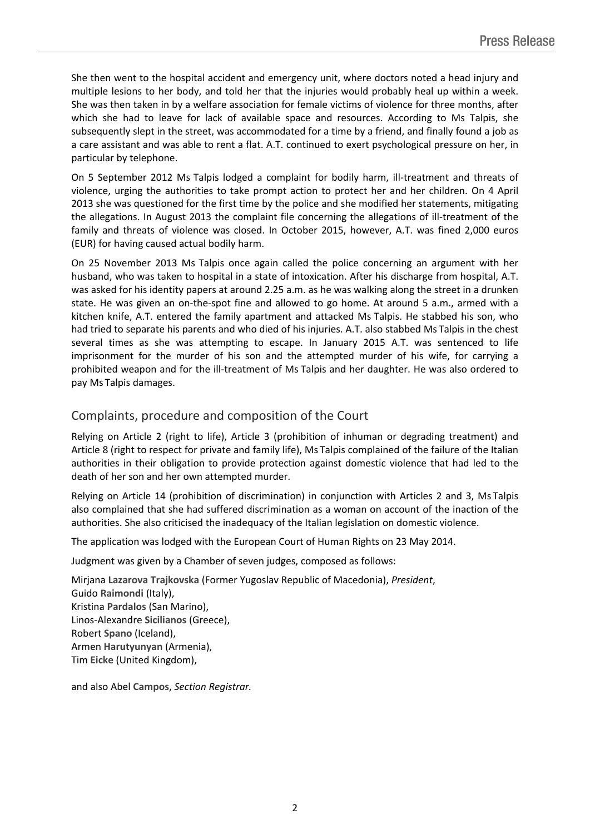She then went to the hospital accident and emergency unit, where doctors noted a head injury and multiple lesions to her body, and told her that the injuries would probably heal up within a week. She was then taken in by a welfare association for female victims of violence for three months, after which she had to leave for lack of available space and resources. According to Ms Talpis, she subsequently slept in the street, was accommodated for a time by a friend, and finally found a job as a care assistant and was able to rent a flat. A.T. continued to exert psychological pressure on her, in particular by telephone.

On 5 September 2012 Ms Talpis lodged a complaint for bodily harm, ill-treatment and threats of violence, urging the authorities to take prompt action to protect her and her children. On 4 April 2013 she was questioned for the first time by the police and she modified her statements, mitigating the allegations. In August 2013 the complaint file concerning the allegations of ill-treatment of the family and threats of violence was closed. In October 2015, however, A.T. was fined 2,000 euros (EUR) for having caused actual bodily harm.

On 25 November 2013 Ms Talpis once again called the police concerning an argument with her husband, who was taken to hospital in a state of intoxication. After his discharge from hospital, A.T. was asked for his identity papers at around 2.25 a.m. as he was walking along the street in a drunken state. He was given an on-the-spot fine and allowed to go home. At around 5 a.m., armed with a kitchen knife, A.T. entered the family apartment and attacked Ms Talpis. He stabbed his son, who had tried to separate his parents and who died of his injuries. A.T. also stabbed Ms Talpis in the chest several times as she was attempting to escape. In January 2015 A.T. was sentenced to life imprisonment for the murder of his son and the attempted murder of his wife, for carrying a prohibited weapon and for the ill-treatment of Ms Talpis and her daughter. He was also ordered to pay Ms Talpis damages.

## Complaints, procedure and composition of the Court

Relying on Article 2 (right to life), Article 3 (prohibition of inhuman or degrading treatment) and Article 8 (right to respect for private and family life), Ms Talpis complained of the failure of the Italian authorities in their obligation to provide protection against domestic violence that had led to the death of her son and her own attempted murder.

Relying on Article 14 (prohibition of discrimination) in conjunction with Articles 2 and 3, Ms Talpis also complained that she had suffered discrimination as a woman on account of the inaction of the authorities. She also criticised the inadequacy of the Italian legislation on domestic violence.

The application was lodged with the European Court of Human Rights on 23 May 2014.

Judgment was given by a Chamber of seven judges, composed as follows:

Mirjana **Lazarova Trajkovska** (Former Yugoslav Republic of Macedonia), *President*, Guido **Raimondi** (Italy), Kristina **Pardalos** (San Marino), Linos-Alexandre **Sicilianos** (Greece), Robert **Spano** (Iceland), Armen **Harutyunyan** (Armenia), Tim **Eicke** (United Kingdom),

and also Abel **Campos**, *Section Registrar.*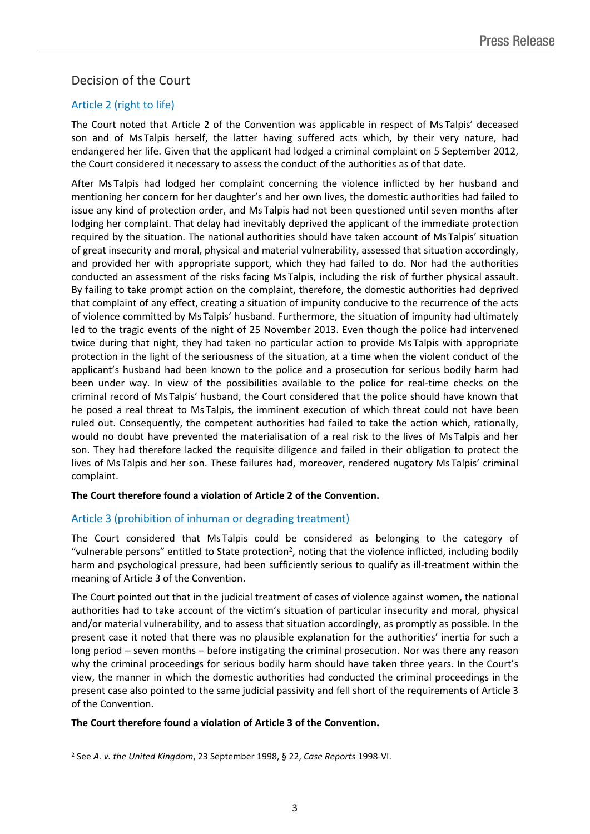# Decision of the Court

## Article 2 (right to life)

The Court noted that Article 2 of the Convention was applicable in respect of Ms Talpis' deceased son and of Ms Talpis herself, the latter having suffered acts which, by their very nature, had endangered her life. Given that the applicant had lodged a criminal complaint on 5 September 2012, the Court considered it necessary to assess the conduct of the authorities as of that date.

After Ms Talpis had lodged her complaint concerning the violence inflicted by her husband and mentioning her concern for her daughter's and her own lives, the domestic authorities had failed to issue any kind of protection order, and Ms Talpis had not been questioned until seven months after lodging her complaint. That delay had inevitably deprived the applicant of the immediate protection required by the situation. The national authorities should have taken account of Ms Talpis' situation of great insecurity and moral, physical and material vulnerability, assessed that situation accordingly, and provided her with appropriate support, which they had failed to do. Nor had the authorities conducted an assessment of the risks facing Ms Talpis, including the risk of further physical assault. By failing to take prompt action on the complaint, therefore, the domestic authorities had deprived that complaint of any effect, creating a situation of impunity conducive to the recurrence of the acts of violence committed by Ms Talpis' husband. Furthermore, the situation of impunity had ultimately led to the tragic events of the night of 25 November 2013. Even though the police had intervened twice during that night, they had taken no particular action to provide Ms Talpis with appropriate protection in the light of the seriousness of the situation, at a time when the violent conduct of the applicant's husband had been known to the police and a prosecution for serious bodily harm had been under way. In view of the possibilities available to the police for real-time checks on the criminal record of Ms Talpis' husband, the Court considered that the police should have known that he posed a real threat to Ms Talpis, the imminent execution of which threat could not have been ruled out. Consequently, the competent authorities had failed to take the action which, rationally, would no doubt have prevented the materialisation of a real risk to the lives of Ms Talpis and her son. They had therefore lacked the requisite diligence and failed in their obligation to protect the lives of Ms Talpis and her son. These failures had, moreover, rendered nugatory Ms Talpis' criminal complaint.

#### **The Court therefore found a violation of Article 2 of the Convention.**

#### Article 3 (prohibition of inhuman or degrading treatment)

The Court considered that Ms Talpis could be considered as belonging to the category of "vulnerable persons" entitled to State protection<sup>2</sup>, noting that the violence inflicted, including bodily harm and psychological pressure, had been sufficiently serious to qualify as ill-treatment within the meaning of Article 3 of the Convention.

The Court pointed out that in the judicial treatment of cases of violence against women, the national authorities had to take account of the victim's situation of particular insecurity and moral, physical and/or material vulnerability, and to assess that situation accordingly, as promptly as possible. In the present case it noted that there was no plausible explanation for the authorities' inertia for such a long period – seven months – before instigating the criminal prosecution. Nor was there any reason why the criminal proceedings for serious bodily harm should have taken three years. In the Court's view, the manner in which the domestic authorities had conducted the criminal proceedings in the present case also pointed to the same judicial passivity and fell short of the requirements of Article 3 of the Convention.

#### **The Court therefore found a violation of Article 3 of the Convention.**

<sup>2</sup> See *A. v. the United Kingdom*, 23 September 1998, § 22, *Case Reports* 1998-VI.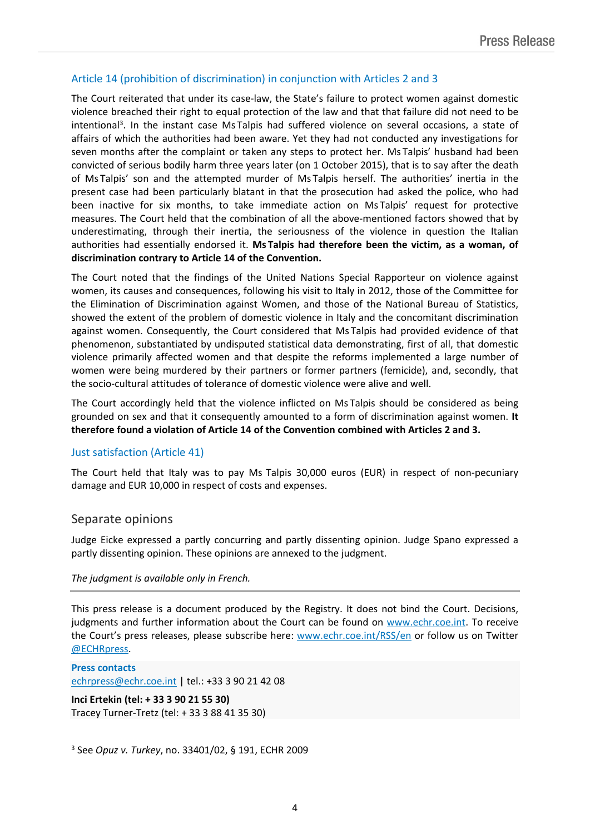### Article 14 (prohibition of discrimination) in conjunction with Articles 2 and 3

The Court reiterated that under its case-law, the State's failure to protect women against domestic violence breached their right to equal protection of the law and that that failure did not need to be intentional<sup>3</sup>. In the instant case Ms Talpis had suffered violence on several occasions, a state of affairs of which the authorities had been aware. Yet they had not conducted any investigations for seven months after the complaint or taken any steps to protect her. Ms Talpis' husband had been convicted of serious bodily harm three years later (on 1 October 2015), that is to say after the death of Ms Talpis' son and the attempted murder of Ms Talpis herself. The authorities' inertia in the present case had been particularly blatant in that the prosecution had asked the police, who had been inactive for six months, to take immediate action on Ms Talpis' request for protective measures. The Court held that the combination of all the above-mentioned factors showed that by underestimating, through their inertia, the seriousness of the violence in question the Italian authorities had essentially endorsed it. **Ms Talpis had therefore been the victim, as a woman, of discrimination contrary to Article 14 of the Convention.**

The Court noted that the findings of the United Nations Special Rapporteur on violence against women, its causes and consequences, following his visit to Italy in 2012, those of the Committee for the Elimination of Discrimination against Women, and those of the National Bureau of Statistics, showed the extent of the problem of domestic violence in Italy and the concomitant discrimination against women. Consequently, the Court considered that Ms Talpis had provided evidence of that phenomenon, substantiated by undisputed statistical data demonstrating, first of all, that domestic violence primarily affected women and that despite the reforms implemented a large number of women were being murdered by their partners or former partners (femicide), and, secondly, that the socio-cultural attitudes of tolerance of domestic violence were alive and well.

The Court accordingly held that the violence inflicted on Ms Talpis should be considered as being grounded on sex and that it consequently amounted to a form of discrimination against women. **It therefore found a violation of Article 14 of the Convention combined with Articles 2 and 3.**

#### Just satisfaction (Article 41)

The Court held that Italy was to pay Ms Talpis 30,000 euros (EUR) in respect of non-pecuniary damage and EUR 10,000 in respect of costs and expenses.

#### Separate opinions

Judge Eicke expressed a partly concurring and partly dissenting opinion. Judge Spano expressed a partly dissenting opinion. These opinions are annexed to the judgment.

#### *The judgment is available only in French.*

This press release is a document produced by the Registry. It does not bind the Court. Decisions, judgments and further information about the Court can be found on [www.echr.coe.int](http://www.echr.coe.int/). To receive the Court's press releases, please subscribe here: [www.echr.coe.int/RSS/en](http://www.echr.coe.int/RSS/en) or follow us on Twitter [@ECHRpress.](https://twitter.com/ECHR_Press)

**Press contacts** [echrpress@echr.coe.int](mailto:Echrpress@echr.coe.int) | tel.: +33 3 90 21 42 08

**Inci Ertekin (tel: + 33 3 90 21 55 30)** Tracey Turner-Tretz (tel: + 33 3 88 41 35 30)

<sup>3</sup> See *Opuz v. Turkey*, no. 33401/02, § 191, ECHR 2009